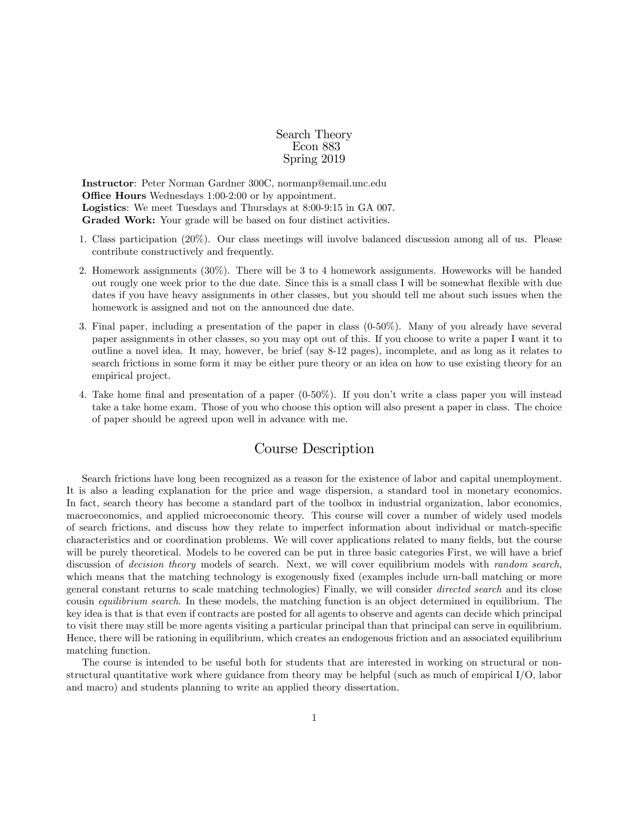Search Theory Econ 883 Spring 2019

Instructor: Peter Norman Gardner 300C, normanp@email.unc.edu **Office Hours** Wednesdays 1:00-2:00 or by appointment. Logistics: We meet Tuesdays and Thursdays at 8:00-9:15 in GA 007. Graded Work: Your grade will be based on four distinct activities.

- 1. Class participation (20%). Our class meetings will involve balanced discussion among all of us. Please contribute constructively and frequently.
- 2. Homework assignments (30%). There will be 3 to 4 homework assignments. Howeworks will be handed out rougly one week prior to the due date. Since this is a small class I will be somewhat flexible with due dates if you have heavy assignments in other classes, but you should tell me about such issues when the homework is assigned and not on the announced due date.
- 3. Final paper, including a presentation of the paper in class (0-50%). Many of you already have several paper assignments in other classes, so you may opt out of this. If you choose to write a paper I want it to outline a novel idea. It may, however, be brief (say 8-12 pages), incomplete, and as long as it relates to search frictions in some form it may be either pure theory or an idea on how to use existing theory for an empirical project.
- 4. Take home final and presentation of a paper  $(0.50\%)$ . If you don't write a class paper you will instead take a take home exam. Those of you who choose this option will also present a paper in class. The choice of paper should be agreed upon well in advance with me.

## Course Description

Search frictions have long been recognized as a reason for the existence of labor and capital unemployment. It is also a leading explanation for the price and wage dispersion, a standard tool in monetary economics. In fact, search theory has become a standard part of the toolbox in industrial organization, labor economics, macroeconomics, and applied microeconomic theory. This course will cover a number of widely used models of search frictions, and discuss how they relate to imperfect information about individual or match-specific characteristics and or coordination problems. We will cover applications related to many fields, but the course will be purely theoretical. Models to be covered can be put in three basic categories First, we will have a brief discussion of *decision theory* models of search. Next, we will cover equilibrium models with *random search*, which means that the matching technology is exogenously fixed (examples include urn-ball matching or more general constant returns to scale matching technologies) Finally, we will consider directed search and its close cousin *equilibrium search*. In these models, the matching function is an object determined in equilibrium. The key idea is that is that even if contracts are posted for all agents to observe and agents can decide which principal to visit there may still be more agents visiting a particular principal than that principal can serve in equilibrium. Hence, there will be rationing in equilibrium, which creates an endogenous friction and an associated equilibrium matching function.

The course is intended to be useful both for students that are interested in working on structural or nonstructural quantitative work where guidance from theory may be helpful (such as much of empirical I/O, labor and macro) and students planning to write an applied theory dissertation.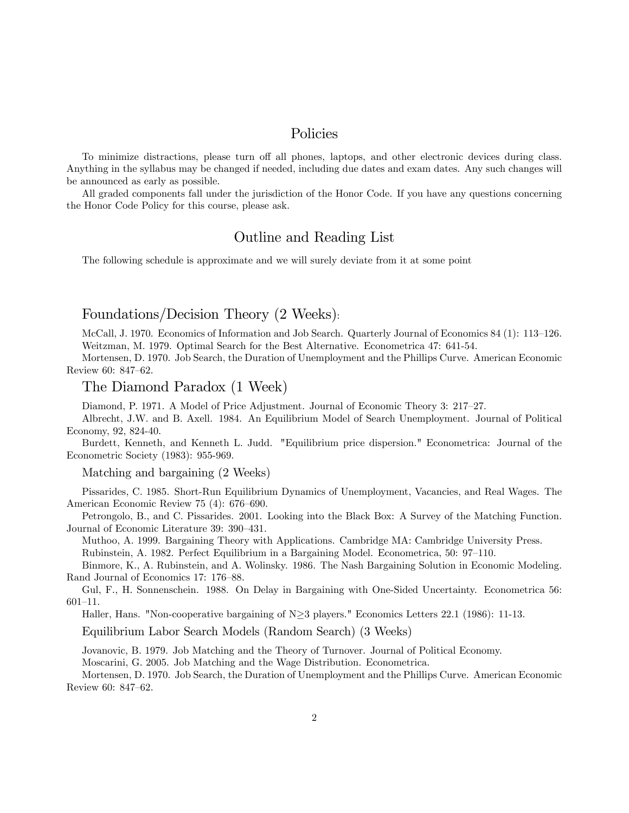### Policies

To minimize distractions, please turn off all phones, laptops, and other electronic devices during class. Anything in the syllabus may be changed if needed, including due dates and exam dates. Any such changes will be announced as early as possible.

All graded components fall under the jurisdiction of the Honor Code. If you have any questions concerning the Honor Code Policy for this course, please ask.

### Outline and Reading List

The following schedule is approximate and we will surely deviate from it at some point

# Foundations/Decision Theory (2 Weeks):

McCall, J. 1970. Economics of Information and Job Search. Quarterly Journal of Economics 84 (1): 113–126. Weitzman, M. 1979. Optimal Search for the Best Alternative. Econometrica 47: 641-54.

Mortensen, D. 1970. Job Search, the Duration of Unemployment and the Phillips Curve. American Economic Review 60: 847-62.

#### The Diamond Paradox (1 Week)

Diamond, P. 1971. A Model of Price Adjustment. Journal of Economic Theory 3: 217–27.

Albrecht, J.W. and B. Axell. 1984. An Equilibrium Model of Search Unemployment. Journal of Political Economy, 92, 824-40.

Burdett, Kenneth, and Kenneth L. Judd. "Equilibrium price dispersion." Econometrica: Journal of the Econometric Society (1983): 955-969.

Matching and bargaining (2 Weeks)

Pissarides, C. 1985. Short-Run Equilibrium Dynamics of Unemployment, Vacancies, and Real Wages. The American Economic Review 75  $(4)$ : 676–690.

Petrongolo, B., and C. Pissarides. 2001. Looking into the Black Box: A Survey of the Matching Function. Journal of Economic Literature 39: 390–431.

Muthoo, A. 1999. Bargaining Theory with Applications. Cambridge MA: Cambridge University Press. Rubinstein, A. 1982. Perfect Equilibrium in a Bargaining Model. Econometrica, 50: 97-110.

Binmore, K., A. Rubinstein, and A. Wolinsky. 1986. The Nash Bargaining Solution in Economic Modeling. Rand Journal of Economics 17: 176–88.

Gul, F., H. Sonnenschein. 1988. On Delay in Bargaining with One-Sided Uncertainty. Econometrica 56:  $601 - 11$ .

Haller, Hans. "Non-cooperative bargaining of  $N \geq 3$  players." Economics Letters 22.1 (1986): 11-13.

Equilibrium Labor Search Models (Random Search) (3 Weeks)

Jovanovic, B. 1979. Job Matching and the Theory of Turnover. Journal of Political Economy.

Moscarini, G. 2005. Job Matching and the Wage Distribution. Econometrica.

Mortensen, D. 1970. Job Search, the Duration of Unemployment and the Phillips Curve. American Economic Review 60: 847-62.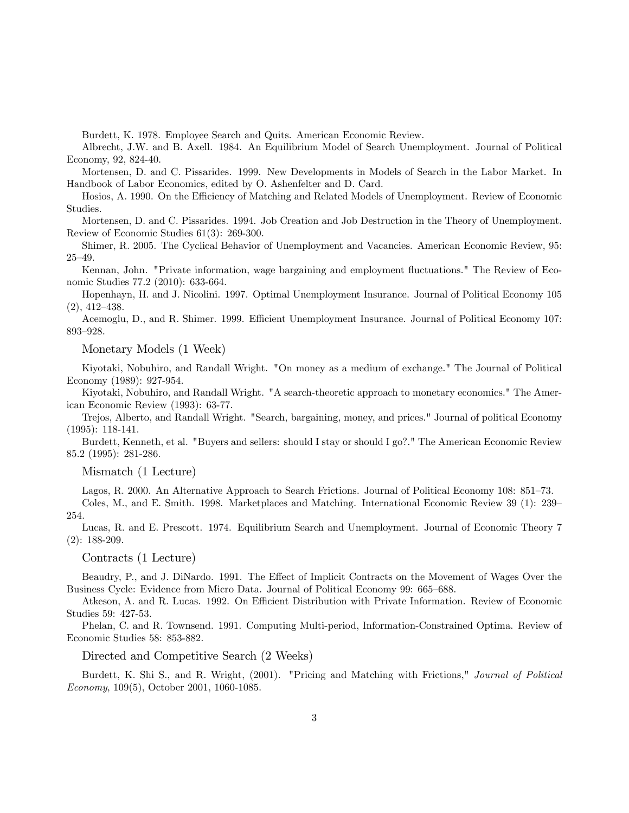Burdett, K. 1978. Employee Search and Quits. American Economic Review.

Albrecht, J.W. and B. Axell. 1984. An Equilibrium Model of Search Unemployment. Journal of Political Economy, 92, 824-40.

Mortensen, D. and C. Pissarides. 1999. New Developments in Models of Search in the Labor Market. In Handbook of Labor Economics, edited by O. Ashenfelter and D. Card.

Hosios, A. 1990. On the Efficiency of Matching and Related Models of Unemployment. Review of Economic Studies.

Mortensen, D. and C. Pissarides. 1994. Job Creation and Job Destruction in the Theory of Unemployment. Review of Economic Studies 61(3): 269-300.

Shimer, R. 2005. The Cyclical Behavior of Unemployment and Vacancies. American Economic Review, 95:  $25 - 49.$ 

Kennan, John. "Private information, wage bargaining and employment fluctuations." The Review of Economic Studies 77.2 (2010): 633-664.

Hopenhayn, H. and J. Nicolini. 1997. Optimal Unemployment Insurance. Journal of Political Economy 105  $(2), 412-438.$ 

Acemoglu, D., and R. Shimer. 1999. Efficient Unemployment Insurance. Journal of Political Economy 107: 893-928.

Monetary Models (1 Week)

Kiyotaki, Nobuhiro, and Randall Wright. "On money as a medium of exchange." The Journal of Political Economy (1989): 927-954.

Kiyotaki, Nobuhiro, and Randall Wright. "A search-theoretic approach to monetary economics." The American Economic Review (1993): 63-77.

Trejos, Alberto, and Randall Wright. "Search, bargaining, money, and prices." Journal of political Economy (1995): 118-141.

Burdett, Kenneth, et al. "Buyers and sellers: should I stay or should I go?." The American Economic Review 85.2 (1995): 281-286.

Mismatch (1 Lecture)

Lagos, R. 2000. An Alternative Approach to Search Frictions. Journal of Political Economy 108: 851–73.

Coles, M., and E. Smith. 1998. Marketplaces and Matching. International Economic Review 39 (1): 239– 254.

Lucas, R. and E. Prescott. 1974. Equilibrium Search and Unemployment. Journal of Economic Theory 7 (2): 188-209.

Contracts (1 Lecture)

Beaudry, P., and J. DiNardo. 1991. The Effect of Implicit Contracts on the Movement of Wages Over the Business Cycle: Evidence from Micro Data. Journal of Political Economy 99: 665–688.

Atkeson, A. and R. Lucas. 1992. On Efficient Distribution with Private Information. Review of Economic Studies 59: 427-53.

Phelan, C. and R. Townsend. 1991. Computing Multi-period, Information-Constrained Optima. Review of Economic Studies 58: 853-882.

Directed and Competitive Search (2 Weeks)

Burdett, K. Shi S., and R. Wright, (2001). "Pricing and Matching with Frictions," Journal of Political Economy, 109(5), October 2001, 1060-1085.